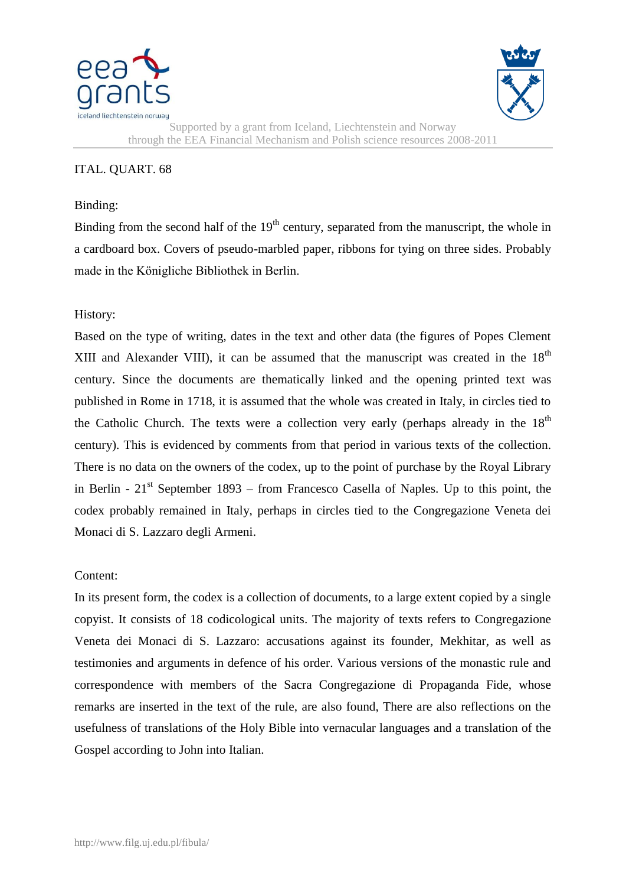



Supported by a grant from Iceland, Liechtenstein and Norway through the EEA Financial Mechanism and Polish science resources 2008-2011

## ITAL. QUART. 68

## Binding:

Binding from the second half of the  $19<sup>th</sup>$  century, separated from the manuscript, the whole in a cardboard box. Covers of pseudo-marbled paper, ribbons for tying on three sides. Probably made in the Königliche Bibliothek in Berlin.

## History:

Based on the type of writing, dates in the text and other data (the figures of Popes Clement XIII and Alexander VIII), it can be assumed that the manuscript was created in the  $18<sup>th</sup>$ century. Since the documents are thematically linked and the opening printed text was published in Rome in 1718, it is assumed that the whole was created in Italy, in circles tied to the Catholic Church. The texts were a collection very early (perhaps already in the  $18<sup>th</sup>$ century). This is evidenced by comments from that period in various texts of the collection. There is no data on the owners of the codex, up to the point of purchase by the Royal Library in Berlin -  $21<sup>st</sup>$  September 1893 – from Francesco Casella of Naples. Up to this point, the codex probably remained in Italy, perhaps in circles tied to the Congregazione Veneta dei Monaci di S. Lazzaro degli Armeni.

## Content:

In its present form, the codex is a collection of documents, to a large extent copied by a single copyist. It consists of 18 codicological units. The majority of texts refers to Congregazione Veneta dei Monaci di S. Lazzaro: accusations against its founder, Mekhitar, as well as testimonies and arguments in defence of his order. Various versions of the monastic rule and correspondence with members of the Sacra Congregazione di Propaganda Fide, whose remarks are inserted in the text of the rule, are also found, There are also reflections on the usefulness of translations of the Holy Bible into vernacular languages and a translation of the Gospel according to John into Italian.